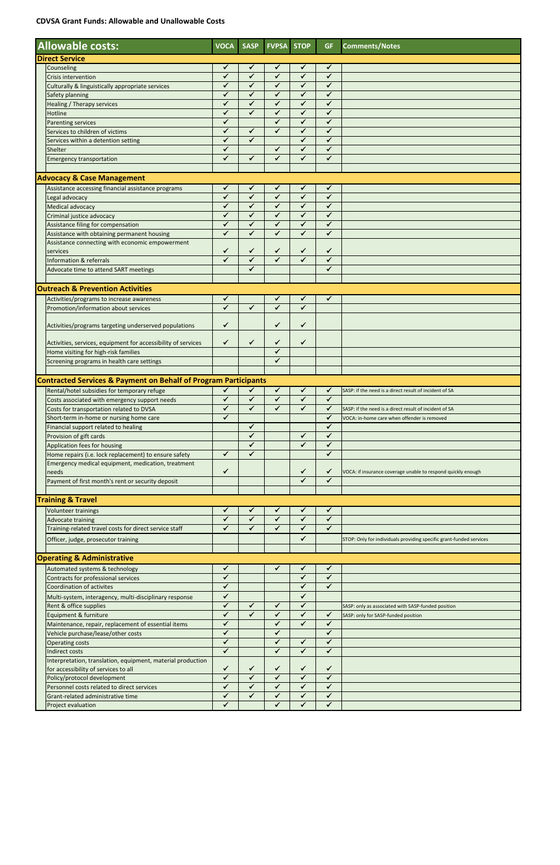## **CDVSA Grant Funds: Allowable and Unallowable Costs**

|                                                                            | <b>Allowable costs:</b>                                                                                     | <b>VOCA</b>                  | <b>SASP</b>                  | <b>FVPSA</b>                 | <b>STOP</b>                  | <b>GF</b>                    | <b>Comments/Notes</b>                                               |  |  |  |  |
|----------------------------------------------------------------------------|-------------------------------------------------------------------------------------------------------------|------------------------------|------------------------------|------------------------------|------------------------------|------------------------------|---------------------------------------------------------------------|--|--|--|--|
| <b>Direct Service</b>                                                      |                                                                                                             |                              |                              |                              |                              |                              |                                                                     |  |  |  |  |
|                                                                            | Counseling                                                                                                  | ✓                            | $\checkmark$                 | ✔                            | $\checkmark$                 | $\checkmark$                 |                                                                     |  |  |  |  |
|                                                                            | <b>Crisis intervention</b>                                                                                  | $\checkmark$                 | $\checkmark$                 | $\checkmark$                 | $\checkmark$                 | $\checkmark$                 |                                                                     |  |  |  |  |
|                                                                            | Culturally & linguistically appropriate services                                                            | ✓                            | $\checkmark$                 | ✓                            | $\checkmark$                 | ✓                            |                                                                     |  |  |  |  |
|                                                                            | Safety planning                                                                                             | $\checkmark$                 | $\checkmark$                 | $\checkmark$                 | $\checkmark$                 | $\checkmark$                 |                                                                     |  |  |  |  |
|                                                                            | <b>Healing / Therapy services</b>                                                                           | $\checkmark$<br>$\checkmark$ | $\checkmark$<br>$\checkmark$ | $\checkmark$<br>$\checkmark$ | $\checkmark$<br>$\checkmark$ | $\checkmark$<br>$\checkmark$ |                                                                     |  |  |  |  |
|                                                                            | Hotline                                                                                                     | $\checkmark$                 |                              | $\checkmark$                 | $\checkmark$                 | $\checkmark$                 |                                                                     |  |  |  |  |
|                                                                            | Parenting services<br>Services to children of victims                                                       | $\checkmark$                 | $\checkmark$                 | ✓                            | $\checkmark$                 | $\checkmark$                 |                                                                     |  |  |  |  |
|                                                                            | Services within a detention setting                                                                         | $\checkmark$                 | $\checkmark$                 |                              | $\checkmark$                 | $\checkmark$                 |                                                                     |  |  |  |  |
|                                                                            | Shelter                                                                                                     | ✓                            |                              | ✓                            | $\checkmark$                 | $\checkmark$                 |                                                                     |  |  |  |  |
|                                                                            | <b>Emergency transportation</b>                                                                             | $\checkmark$                 | $\checkmark$                 | $\checkmark$                 | $\checkmark$                 | $\checkmark$                 |                                                                     |  |  |  |  |
|                                                                            |                                                                                                             |                              |                              |                              |                              |                              |                                                                     |  |  |  |  |
|                                                                            | <b>Advocacy &amp; Case Management</b>                                                                       |                              |                              |                              |                              |                              |                                                                     |  |  |  |  |
|                                                                            | Assistance accessing financial assistance programs                                                          | ✓                            | ✓                            | ✓                            | $\checkmark$                 | $\checkmark$                 |                                                                     |  |  |  |  |
|                                                                            | Legal advocacy                                                                                              | $\checkmark$                 | $\checkmark$                 | $\checkmark$                 | $\checkmark$                 | $\checkmark$                 |                                                                     |  |  |  |  |
|                                                                            | Medical advocacy                                                                                            | $\checkmark$                 | $\checkmark$                 | $\checkmark$                 | $\checkmark$                 | $\checkmark$                 |                                                                     |  |  |  |  |
|                                                                            | Criminal justice advocacy                                                                                   | ✓                            | $\checkmark$                 | ✓                            | $\checkmark$<br>$\checkmark$ | $\checkmark$<br>$\checkmark$ |                                                                     |  |  |  |  |
|                                                                            | Assistance filing for compensation                                                                          | ✓<br>$\checkmark$            | ✓<br>$\checkmark$            | $\checkmark$<br>$\checkmark$ | $\checkmark$                 | $\checkmark$                 |                                                                     |  |  |  |  |
|                                                                            | Assistance with obtaining permanent housing<br>Assistance connecting with economic empowerment              |                              |                              |                              |                              |                              |                                                                     |  |  |  |  |
|                                                                            | services                                                                                                    | ✓                            | ✓                            | ✓                            | ✓                            | ✓                            |                                                                     |  |  |  |  |
|                                                                            | <b>Information &amp; referrals</b>                                                                          | $\checkmark$                 | $\checkmark$                 | $\checkmark$                 | $\checkmark$                 | $\checkmark$                 |                                                                     |  |  |  |  |
|                                                                            | Advocate time to attend SART meetings                                                                       |                              | $\checkmark$                 |                              |                              | $\checkmark$                 |                                                                     |  |  |  |  |
|                                                                            |                                                                                                             |                              |                              |                              |                              |                              |                                                                     |  |  |  |  |
|                                                                            | <b>Outreach &amp; Prevention Activities</b>                                                                 |                              |                              |                              |                              |                              |                                                                     |  |  |  |  |
|                                                                            | Activities/programs to increase awareness                                                                   | ✓                            |                              | ✓                            | ✓                            | $\checkmark$                 |                                                                     |  |  |  |  |
|                                                                            | Promotion/information about services                                                                        | $\checkmark$                 | $\checkmark$                 | ✓                            | $\checkmark$                 |                              |                                                                     |  |  |  |  |
|                                                                            |                                                                                                             |                              |                              |                              |                              |                              |                                                                     |  |  |  |  |
|                                                                            | Activities/programs targeting underserved populations                                                       | ✓                            |                              | ✓                            | ✓                            |                              |                                                                     |  |  |  |  |
|                                                                            | Activities, services, equipment for accessibility of services                                               | ✓                            | ✓                            | ✓                            | ✓                            |                              |                                                                     |  |  |  |  |
|                                                                            | Home visiting for high-risk families                                                                        |                              |                              | $\checkmark$                 |                              |                              |                                                                     |  |  |  |  |
|                                                                            | Screening programs in health care settings                                                                  |                              |                              | ✓                            |                              |                              |                                                                     |  |  |  |  |
|                                                                            |                                                                                                             |                              |                              |                              |                              |                              |                                                                     |  |  |  |  |
| <b>Contracted Services &amp; Payment on Behalf of Program Participants</b> |                                                                                                             |                              |                              |                              |                              |                              |                                                                     |  |  |  |  |
|                                                                            |                                                                                                             |                              |                              |                              |                              |                              |                                                                     |  |  |  |  |
|                                                                            | Rental/hotel subsidies for temporary refuge                                                                 | ✓                            | $\checkmark$                 | ✓                            | ✓                            | ✔                            | SASP: if the need is a direct result of incident of SA              |  |  |  |  |
|                                                                            | Costs associated with emergency support needs                                                               | ✓                            | ✓                            | ✓                            | $\checkmark$                 | $\checkmark$                 |                                                                     |  |  |  |  |
|                                                                            | Costs for transportation related to DVSA                                                                    | ✓                            | $\checkmark$                 | ✓                            | $\checkmark$                 | $\checkmark$                 | SASP: if the need is a direct result of incident of SA              |  |  |  |  |
|                                                                            | Short-term in-home or nursing home care                                                                     | $\checkmark$                 |                              |                              |                              | $\checkmark$                 | VOCA: in-home care when offender is removed                         |  |  |  |  |
|                                                                            | Financial support related to healing                                                                        |                              | ✓                            |                              |                              | $\checkmark$                 |                                                                     |  |  |  |  |
|                                                                            | Provision of gift cards                                                                                     |                              | ✓<br>✓                       |                              | ✓<br>$\checkmark$            | ✓<br>$\checkmark$            |                                                                     |  |  |  |  |
|                                                                            | Application fees for housing                                                                                | ✓                            | $\checkmark$                 |                              |                              | $\checkmark$                 |                                                                     |  |  |  |  |
|                                                                            | Home repairs (i.e. lock replacement) to ensure safety<br>Emergency medical equipment, medication, treatment |                              |                              |                              |                              |                              |                                                                     |  |  |  |  |
|                                                                            | needs                                                                                                       | ✓                            |                              |                              | ✓                            | ✔                            | VOCA: if insurance coverage unable to respond quickly enough        |  |  |  |  |
|                                                                            | Payment of first month's rent or security deposit                                                           |                              |                              |                              | $\checkmark$                 | $\checkmark$                 |                                                                     |  |  |  |  |
|                                                                            |                                                                                                             |                              |                              |                              |                              |                              |                                                                     |  |  |  |  |
|                                                                            | <b>Training &amp; Travel</b>                                                                                |                              |                              |                              |                              |                              |                                                                     |  |  |  |  |
|                                                                            | Volunteer trainings                                                                                         | ✓                            | ✔                            | ✓                            | ✓                            | ✓                            |                                                                     |  |  |  |  |
|                                                                            | <b>Advocate training</b>                                                                                    | $\checkmark$                 | $\checkmark$                 | ✓                            | ✓                            | $\checkmark$                 |                                                                     |  |  |  |  |
|                                                                            | Training-related travel costs for direct service staff                                                      | ✓                            | ✓                            | ✓                            | $\checkmark$                 | $\checkmark$                 |                                                                     |  |  |  |  |
|                                                                            | Officer, judge, prosecutor training                                                                         |                              |                              |                              | $\checkmark$                 |                              | STOP: Only for individuals providing specific grant-funded services |  |  |  |  |
|                                                                            |                                                                                                             |                              |                              |                              |                              |                              |                                                                     |  |  |  |  |
|                                                                            | <b>Operating &amp; Administrative</b>                                                                       |                              |                              |                              |                              |                              |                                                                     |  |  |  |  |
|                                                                            | Automated systems & technology                                                                              | ✓<br>✓                       |                              | ✓                            | ✓<br>✓                       | $\checkmark$                 |                                                                     |  |  |  |  |
|                                                                            | Contracts for professional services                                                                         | ✓                            |                              |                              | $\checkmark$                 | $\checkmark$<br>$\checkmark$ |                                                                     |  |  |  |  |
|                                                                            | <b>Coordination of activites</b>                                                                            | $\checkmark$                 |                              |                              | ✓                            |                              |                                                                     |  |  |  |  |
|                                                                            | Multi-system, interagency, multi-disciplinary response<br>Rent & office supplies                            | ✓                            | $\checkmark$                 | $\checkmark$                 | $\checkmark$                 |                              | SASP: only as associated with SASP-funded position                  |  |  |  |  |
|                                                                            | Equipment & furniture                                                                                       | $\checkmark$                 | $\checkmark$                 | $\checkmark$                 | $\checkmark$                 | $\checkmark$                 | SASP: only for SASP-funded position                                 |  |  |  |  |
|                                                                            | Maintenance, repair, replacement of essential items                                                         | $\checkmark$                 |                              | $\checkmark$                 | $\checkmark$                 | $\checkmark$                 |                                                                     |  |  |  |  |
|                                                                            | Vehicle purchase/lease/other costs                                                                          | ✓                            |                              | ✓                            |                              | $\checkmark$                 |                                                                     |  |  |  |  |
|                                                                            | <b>Operating costs</b>                                                                                      | $\checkmark$                 |                              | ✓                            | $\checkmark$                 | $\checkmark$                 |                                                                     |  |  |  |  |
|                                                                            | Indirect costs                                                                                              | $\checkmark$                 |                              | ✓                            | $\checkmark$                 | $\checkmark$                 |                                                                     |  |  |  |  |
|                                                                            | Interpretation, translation, equipment, material production                                                 |                              | ✓                            | ✓                            | ✓                            |                              |                                                                     |  |  |  |  |
|                                                                            | for accessibility of services to all                                                                        | ✓<br>✓                       | ✓                            | $\checkmark$                 | $\checkmark$                 | ✓<br>✓                       |                                                                     |  |  |  |  |
|                                                                            | Policy/protocol development<br>Personnel costs related to direct services                                   | $\overline{\checkmark}$      | $\overline{\checkmark}$      | $\blacktriangledown$         | $\checkmark$                 | $\overline{\checkmark}$      |                                                                     |  |  |  |  |
|                                                                            | Grant-related administrative time                                                                           | $\overline{\checkmark}$      | $\checkmark$                 | $\blacktriangledown$         | $\blacktriangledown$         | $\blacktriangledown$         |                                                                     |  |  |  |  |